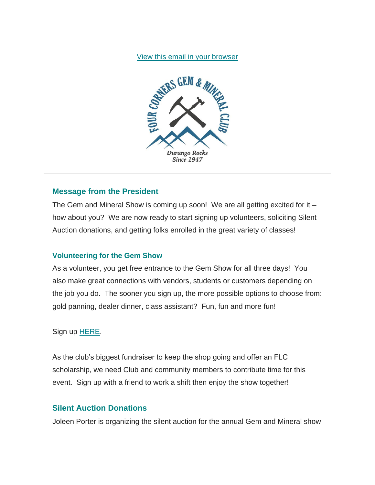[View this email in your browser](https://mailchi.mp/61ed98965834/june-2022-newsletter?e=7e7f7ff7b9)



## **Message from the President**

The Gem and Mineral Show is coming up soon! We are all getting excited for it – how about you? We are now ready to start signing up volunteers, soliciting Silent Auction donations, and getting folks enrolled in the great variety of classes!

#### **Volunteering for the Gem Show**

As a volunteer, you get free entrance to the Gem Show for all three days! You also make great connections with vendors, students or customers depending on the job you do. The sooner you sign up, the more possible options to choose from: gold panning, dealer dinner, class assistant? Fun, fun and more fun!

Sign up [HERE.](https://durangorocks.us6.list-manage.com/track/click?u=b6983b14141af30d3bc8c8d98&id=f7d9183cb1&e=7e7f7ff7b9)

As the club's biggest fundraiser to keep the shop going and offer an FLC scholarship, we need Club and community members to contribute time for this event. Sign up with a friend to work a shift then enjoy the show together!

### **Silent Auction Donations**

Joleen Porter is organizing the silent auction for the annual Gem and Mineral show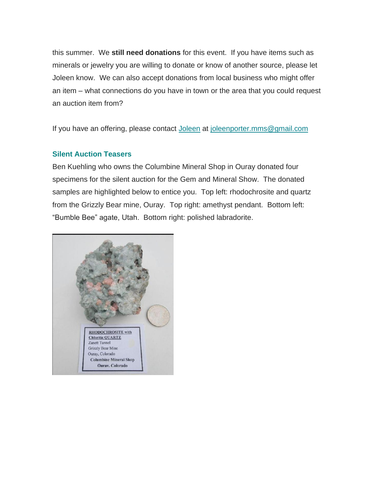this summer. We **still need donations** for this event. If you have items such as minerals or jewelry you are willing to donate or know of another source, please let Joleen know. We can also accept donations from local business who might offer an item – what connections do you have in town or the area that you could request an auction item from?

If you have an offering, please contact [Joleen](mailto:joleenporter.mms@gmail.com?subject=Gem%20Show%202022%20Silent%20Auction%20Donation) at [joleenporter.mms@gmail.com](mailto:joleenporter.mms@gmail.com?subject=Gem%20Show%202022%20Silent%20Auction%20Donation)

## **Silent Auction Teasers**

Ben Kuehling who owns the Columbine Mineral Shop in Ouray donated four specimens for the silent auction for the Gem and Mineral Show. The donated samples are highlighted below to entice you. Top left: rhodochrosite and quartz from the Grizzly Bear mine, Ouray. Top right: amethyst pendant. Bottom left: "Bumble Bee" agate, Utah. Bottom right: polished labradorite.

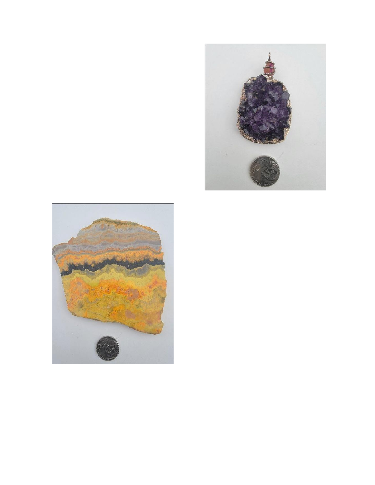

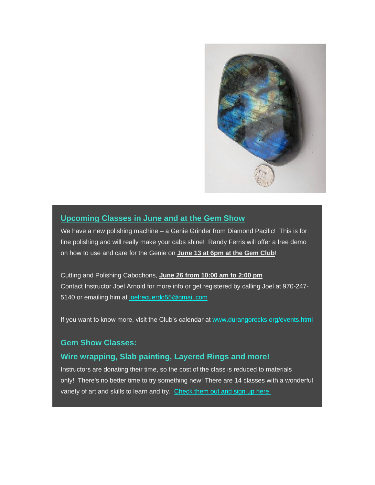

### **Upcoming Classes in June and at the Gem Show**

We have a new polishing machine – a Genie Grinder from Diamond Pacific! This is for fine polishing and will really make your cabs shine! Randy Ferris will offer a free demo on how to use and care for the Genie on **June 13 at 6pm at the Gem Club**!

Cutting and Polishing Cabochons, **June 26 from 10:00 am to 2:00 pm** Contact Instructor Joel Arnold for more info or get registered by calling Joel at 970-247 5140 or emailing him at [joelrecuerdo55@gmail.com](mailto:joelrecuerdo55@gmail.com)

If you want to know more, visit the Club's calendar at [www.durangorocks.org/events.html](https://durangorocks.us6.list-manage.com/track/click?u=b6983b14141af30d3bc8c8d98&id=65cc9d2d58&e=7e7f7ff7b9)

### **Gem Show Classes:**

## **Wire wrapping, Slab painting, Layered Rings and more!**

Instructors are donating their time, so the cost of the class is reduced to materials only! There's no better time to try something new! There are 14 classes with a wonderful variety of art and skills to learn and try. [Check them out and sign up here.](https://durangorocks.us6.list-manage.com/track/click?u=b6983b14141af30d3bc8c8d98&id=f4864936d9&e=7e7f7ff7b9)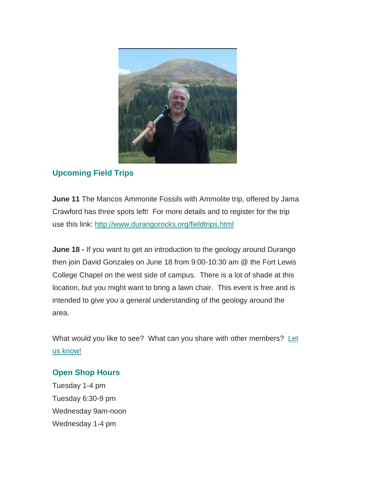

# **Upcoming Field Trips**

**June 11** The Mancos Ammonite Fossils with Ammolite trip, offered by Jama Crawford has three spots left! For more details and to register for the trip use this link: [http://www.durangorocks.org/fieldtrips.html](https://durangorocks.us6.list-manage.com/track/click?u=b6983b14141af30d3bc8c8d98&id=0d03ea0e15&e=7e7f7ff7b9)

**June 18 -** If you want to get an introduction to the geology around Durango then join David Gonzales on June 18 from 9:00-10:30 am @ the Fort Lewis College Chapel on the west side of campus. There is a lot of shade at this location, but you might want to bring a lawn chair. This event is free and is intended to give you a general understanding of the geology around the area.

What would you like to see? What can you share with other members? [Let](mailto:gonzales_d@fortlewis.edu?subject=field%20trip%20suggestion)  [us know!](mailto:gonzales_d@fortlewis.edu?subject=field%20trip%20suggestion)

## **Open Shop Hours**

Tuesday 1-4 pm Tuesday 6:30-9 pm Wednesday 9am-noon Wednesday 1-4 pm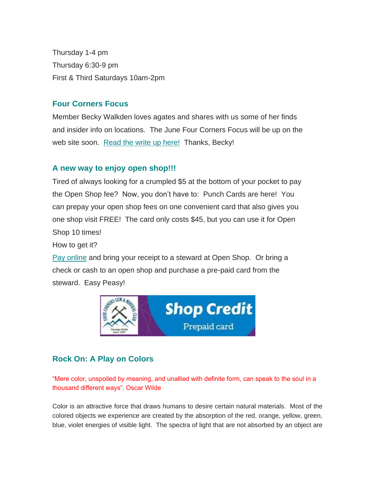Thursday 1-4 pm Thursday 6:30-9 pm First & Third Saturdays 10am-2pm

## **Four Corners Focus**

Member Becky Walkden loves agates and shares with us some of her finds and insider info on locations. The June Four Corners Focus will be up on the web site soon. [Read the write up here!](https://durangorocks.us6.list-manage.com/track/click?u=b6983b14141af30d3bc8c8d98&id=e085d3a87c&e=7e7f7ff7b9) Thanks, Becky!

# **A new way to enjoy open shop!!!**

Tired of always looking for a crumpled \$5 at the bottom of your pocket to pay the Open Shop fee? Now, you don't have to: Punch Cards are here! You can prepay your open shop fees on one convenient card that also gives you one shop visit FREE! The card only costs \$45, but you can use it for Open Shop 10 times!

How to get it?

[Pay online](https://durangorocks.us6.list-manage.com/track/click?u=b6983b14141af30d3bc8c8d98&id=c8ac6bd65e&e=7e7f7ff7b9) and bring your receipt to a steward at Open Shop. Or bring a check or cash to an open shop and purchase a pre-paid card from the steward. Easy Peasy!



# **Rock On: A Play on Colors**

"Mere color, unspoiled by meaning, and unallied with definite form, can speak to the soul in a thousand different ways". Oscar Wilde

Color is an attractive force that draws humans to desire certain natural materials. Most of the colored objects we experience are created by the absorption of the red, orange, yellow, green, blue, violet energies of visible light. The spectra of light that are not absorbed by an object are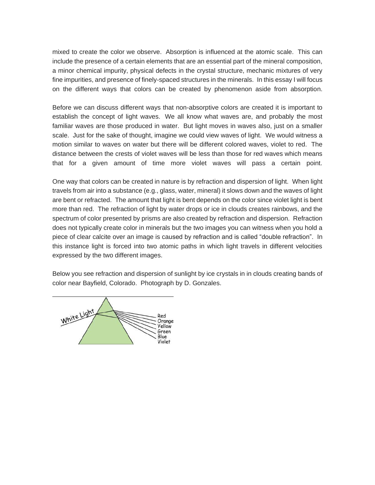mixed to create the color we observe. Absorption is influenced at the atomic scale. This can include the presence of a certain elements that are an essential part of the mineral composition, a minor chemical impurity, physical defects in the crystal structure, mechanic mixtures of very fine impurities, and presence of finely-spaced structures in the minerals. In this essay I will focus on the different ways that colors can be created by phenomenon aside from absorption.

Before we can discuss different ways that non-absorptive colors are created it is important to establish the concept of light waves. We all know what waves are, and probably the most familiar waves are those produced in water. But light moves in waves also, just on a smaller scale. Just for the sake of thought, imagine we could view waves of light. We would witness a motion similar to waves on water but there will be different colored waves, violet to red. The distance between the crests of violet waves will be less than those for red waves which means that for a given amount of time more violet waves will pass a certain point.

One way that colors can be created in nature is by refraction and dispersion of light. When light travels from air into a substance (e.g., glass, water, mineral) it slows down and the waves of light are bent or refracted. The amount that light is bent depends on the color since violet light is bent more than red. The refraction of light by water drops or ice in clouds creates rainbows, and the spectrum of color presented by prisms are also created by refraction and dispersion. Refraction does not typically create color in minerals but the two images you can witness when you hold a piece of clear calcite over an image is caused by refraction and is called "double refraction". In this instance light is forced into two atomic paths in which light travels in different velocities expressed by the two different images.

Below you see refraction and dispersion of sunlight by ice crystals in in clouds creating bands of color near Bayfield, Colorado. Photograph by D. Gonzales.

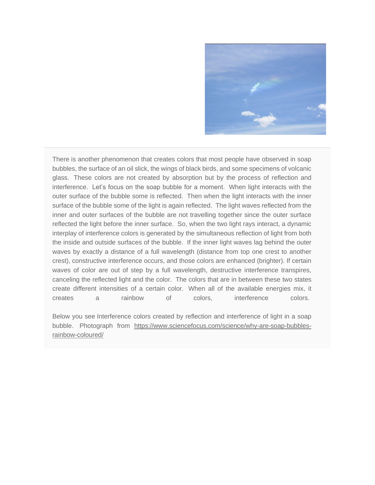

There is another phenomenon that creates colors that most people have observed in soap bubbles, the surface of an oil slick, the wings of black birds, and some specimens of volcanic glass. These colors are not created by absorption but by the process of reflection and interference. Let's focus on the soap bubble for a moment. When light interacts with the outer surface of the bubble some is reflected. Then when the light interacts with the inner surface of the bubble some of the light is again reflected. The light waves reflected from the inner and outer surfaces of the bubble are not travelling together since the outer surface reflected the light before the inner surface. So, when the two light rays interact, a dynamic interplay of interference colors is generated by the simultaneous reflection of light from both the inside and outside surfaces of the bubble. If the inner light waves lag behind the outer waves by exactly a distance of a full wavelength (distance from top one crest to another crest), constructive interference occurs, and those colors are enhanced (brighter). If certain waves of color are out of step by a full wavelength, destructive interference transpires, canceling the reflected light and the color. The colors that are in between these two states create different intensities of a certain color. When all of the available energies mix, it creates a rainbow of colors, interference colors.

Below you see Interference colors created by reflection and interference of light in a soap bubble. Photograph from [https://www.sciencefocus.com/science/why-are-soap-bubbles](https://durangorocks.us6.list-manage.com/track/click?u=b6983b14141af30d3bc8c8d98&id=b5752bf001&e=7e7f7ff7b9)[rainbow-coloured/](https://durangorocks.us6.list-manage.com/track/click?u=b6983b14141af30d3bc8c8d98&id=b5752bf001&e=7e7f7ff7b9)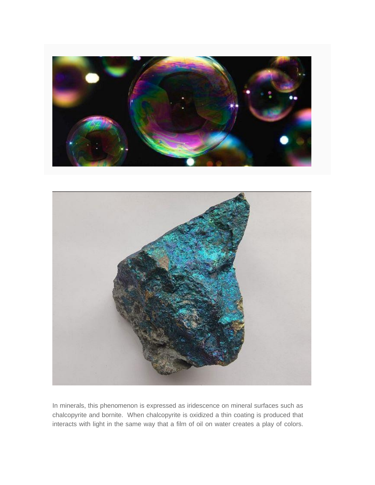



In minerals, this phenomenon is expressed as iridescence on mineral surfaces such as chalcopyrite and bornite. When chalcopyrite is oxidized a thin coating is produced that interacts with light in the same way that a film of oil on water creates a play of colors.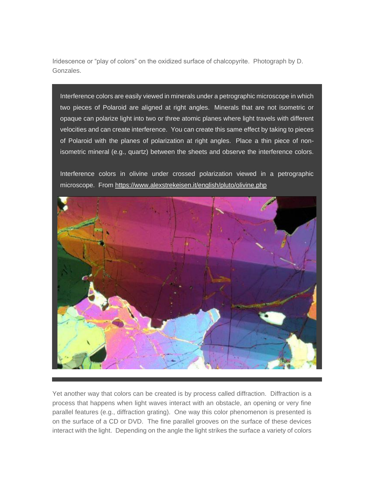Iridescence or "play of colors" on the oxidized surface of chalcopyrite. Photograph by D. Gonzales.

Interference colors are easily viewed in minerals under a petrographic microscope in which two pieces of Polaroid are aligned at right angles. Minerals that are not isometric or opaque can polarize light into two or three atomic planes where light travels with different velocities and can create interference. You can create this same effect by taking to pieces of Polaroid with the planes of polarization at right angles. Place a thin piece of nonisometric mineral (e.g., quartz) between the sheets and observe the interference colors.

Interference colors in olivine under crossed polarization viewed in a petrographic microscope. From [https://www.alexstrekeisen.it/english/pluto/olivine.php](https://durangorocks.us6.list-manage.com/track/click?u=b6983b14141af30d3bc8c8d98&id=eabe9c9530&e=7e7f7ff7b9)



Yet another way that colors can be created is by process called diffraction. Diffraction is a process that happens when light waves interact with an obstacle, an opening or very fine parallel features (e.g., diffraction grating). One way this color phenomenon is presented is on the surface of a CD or DVD. The fine parallel grooves on the surface of these devices interact with the light. Depending on the angle the light strikes the surface a variety of colors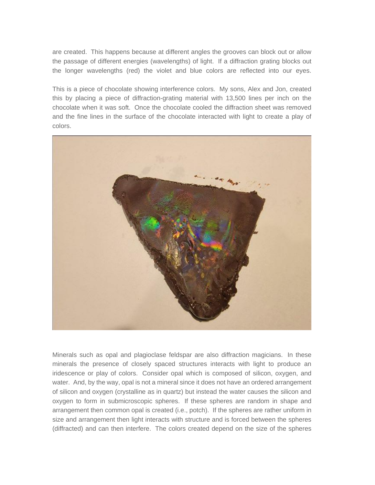are created. This happens because at different angles the grooves can block out or allow the passage of different energies (wavelengths) of light. If a diffraction grating blocks out the longer wavelengths (red) the violet and blue colors are reflected into our eyes.

This is a piece of chocolate showing interference colors. My sons, Alex and Jon, created this by placing a piece of diffraction-grating material with 13,500 lines per inch on the chocolate when it was soft. Once the chocolate cooled the diffraction sheet was removed and the fine lines in the surface of the chocolate interacted with light to create a play of colors.



Minerals such as opal and plagioclase feldspar are also diffraction magicians. In these minerals the presence of closely spaced structures interacts with light to produce an iridescence or play of colors. Consider opal which is composed of silicon, oxygen, and water. And, by the way, opal is not a mineral since it does not have an ordered arrangement of silicon and oxygen (crystalline as in quartz) but instead the water causes the silicon and oxygen to form in submicroscopic spheres. If these spheres are random in shape and arrangement then common opal is created (i.e., potch). If the spheres are rather uniform in size and arrangement then light interacts with structure and is forced between the spheres (diffracted) and can then interfere. The colors created depend on the size of the spheres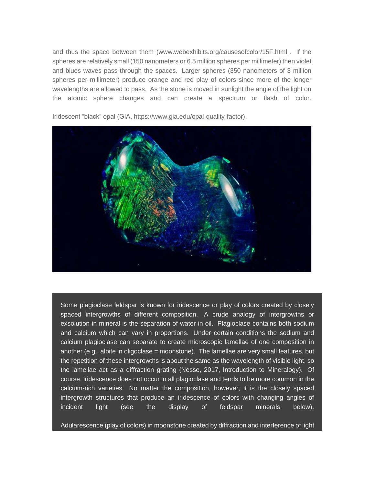and thus the space between them [\(www.webexhibits.org/causesofcolor/15F.html](https://durangorocks.us6.list-manage.com/track/click?u=b6983b14141af30d3bc8c8d98&id=e8d957e30e&e=7e7f7ff7b9) . If the spheres are relatively small (150 nanometers or 6.5 million spheres per millimeter) then violet and blues waves pass through the spaces. Larger spheres (350 nanometers of 3 million spheres per millimeter) produce orange and red play of colors since more of the longer wavelengths are allowed to pass. As the stone is moved in sunlight the angle of the light on the atomic sphere changes and can create a spectrum or flash of color.

Iridescent "black" opal (GIA, [https://www.gia.edu/opal-quality-factor\)](https://durangorocks.us6.list-manage.com/track/click?u=b6983b14141af30d3bc8c8d98&id=0359e32313&e=7e7f7ff7b9).

Some plagioclase feldspar is known for iridescence or play of colors created by closely spaced intergrowths of different composition. A crude analogy of intergrowths or exsolution in mineral is the separation of water in oil. Plagioclase contains both sodium and calcium which can vary in proportions. Under certain conditions the sodium and calcium plagioclase can separate to create microscopic lamellae of one composition in another (e.g., albite in oligoclase = moonstone). The lamellae are very small features, but the repetition of these intergrowths is about the same as the wavelength of visible light, so the lamellae act as a diffraction grating (Nesse, 2017, Introduction to Mineralogy). Of course, iridescence does not occur in all plagioclase and tends to be more common in the calcium-rich varieties. No matter the composition, however, it is the closely spaced intergrowth structures that produce an iridescence of colors with changing angles of incident light (see the display of feldspar minerals below).

Adularescence (play of colors) in moonstone created by diffraction and interference of light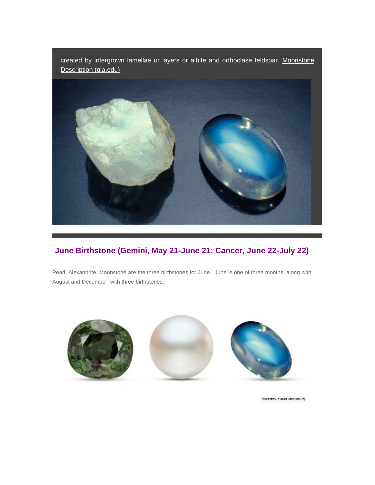created by intergrown lamellae or layers or albite and orthoclase feldspar. [Moonstone](https://durangorocks.us6.list-manage.com/track/click?u=b6983b14141af30d3bc8c8d98&id=20f651e7aa&e=7e7f7ff7b9)  [Description \(gia.edu\)](https://durangorocks.us6.list-manage.com/track/click?u=b6983b14141af30d3bc8c8d98&id=20f651e7aa&e=7e7f7ff7b9)



# **June Birthstone (Gemini, May 21-June 21; Cancer, June 22-July 22)**

Pearl, Alexandrite, Moonstone are the three birthstones for June. June is one of three months, along with August and December, with three birthstones.



COURTESY: D HUMPHREY (RIGHT)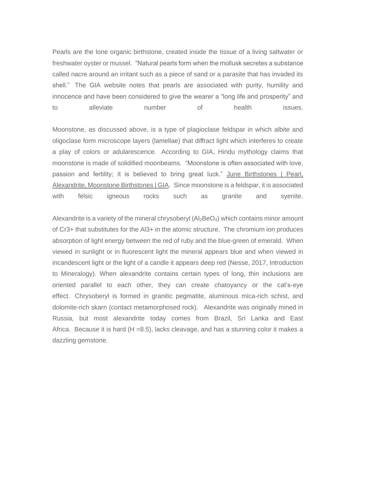Pearls are the lone organic birthstone, created inside the tissue of a living saltwater or freshwater oyster or mussel. "Natural pearls form when the mollusk secretes a substance called nacre around an irritant such as a piece of sand or a parasite that has invaded its shell." The GIA website notes that pearls are associated with purity, humility and innocence and have been considered to give the wearer a "long life and prosperity" and to alleviate number of health issues.

Moonstone, as discussed above, is a type of plagioclase feldspar in which albite and oligoclase form microscope layers (lamellae) that diffract light which interferes to create a play of colors or adularescence. According to GIA, Hindu mythology claims that moonstone is made of solidified moonbeams. "Moonstone is often associated with love, passion and fertility; it is believed to bring great luck." June Birthstones | Pearl, [Alexandrite, Moonstone Birthstones | GIA.](https://durangorocks.us6.list-manage.com/track/click?u=b6983b14141af30d3bc8c8d98&id=5e1e731359&e=7e7f7ff7b9) Since moonstone is a feldspar, it is associated with felsic igneous rocks such as granite and syenite.

Alexandrite is a variety of the mineral chrysoberyl  $(A_2BeO_4)$  which contains minor amount of Cr3+ that substitutes for the Al3+ in the atomic structure. The chromium ion produces absorption of light energy between the red of ruby and the blue-green of emerald. When viewed in sunlight or in fluorescent light the mineral appears blue and when viewed in incandescent light or the light of a candle it appears deep red (Nesse, 2017, Introduction to Mineralogy). When alexandrite contains certain types of long, thin inclusions are oriented parallel to each other, they can create chatoyancy or the cat's-eye effect. Chrysoberyl is formed in granitic pegmatite, aluminous mica-rich schist, and dolomite-rich skarn (contact metamorphosed rock). Alexandrite was originally mined in Russia, but most alexandrite today comes from Brazil, Sri Lanka and East Africa. Because it is hard  $(H = 8.5)$ , lacks cleavage, and has a stunning color it makes a dazzling gemstone.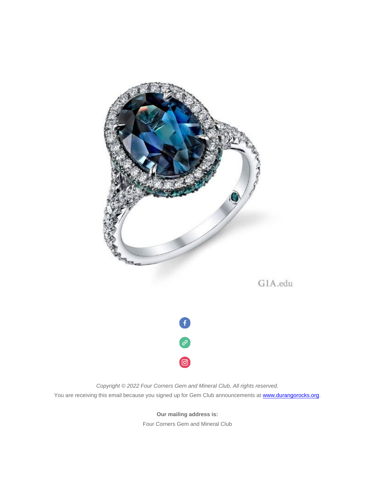

*Copyright © 2022 Four Corners Gem and Mineral Club, All rights reserved.* You are receiving this email because you signed up for Gem Club announcements at [www.durangorocks.org.](http://www.durangorocks.org/)

> **Our mailing address is:** Four Corners Gem and Mineral Club